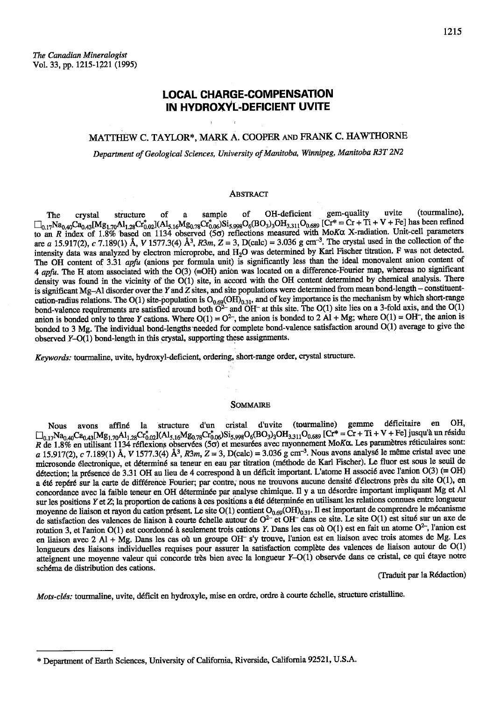1215

# **LOCAL CHARGE-COMPENSATION** IN HYDROXYL-DEFICIENT UVITE

# MATTHEW C. TAYLOR\*, MARK A. COOPER AND FRANK C. HAWTHORNE

Department of Geological Sciences, University of Manitoba, Winnipeg, Manitoba R3T 2N2

#### **ABSTRACT**

(tourmaline), gem-quality uvite of OH-deficient The crystal structure of sample a  $\Box_{0.17}Na_{0.40}Ca_{0.43}[Mg_{1.70}Al_{1.28}Cr^*_{0.02}](Al_{5.16}Mg_{0.78}Cr^*_{0.06})Si_{5.928}O_6(BO_3)_3OH_{3.311}O_{0.689} [Cr^* = Cr + Ti + V + Fe] has been refined$ to an R index of 1.8% based on 1134 observed (5σ) reflections measured with ΜοΚα X-radiation. Unit-cell parameters are a 15.917(2), c 7.189(1) Å, V 1577.3(4) Å<sup>3</sup>, R3m, Z = 3, D(calc) = 3.036 g cm<sup>-3</sup>. The crystal used in the collection of the intensity data was analyzed by electron microprobe, and H<sub>2</sub>O was determined by Karl Fischer titration. F was not detected. The OH content of 3.31 apfu (anions per formula unit) is significantly less than the ideal monovalent anion content of 4 apfu. The H atom associated with the O(3) (=OH) anion was located on a difference-Fourier map, whereas no significant density was found in the vicinity of the O(1) site, in accord with the OH content determined by chemical analysis. There is significant Mg-Al disorder over the Y and Z sites, and site populations were determined from mean bond-length - constituentcation-radius relations. The O(1) site-population is  $O_{0.69}$ (OH)<sub>0.31</sub>, and of key importance is the mechanism by which short-range bond-valence requirements are satisfied around both  $O<sup>2</sup>$  and OH<sup>-</sup> at this site. anion is bonded only to three Y cations. Where  $O(1) = O^2$ , the anion is bonded to 2 Al + Mg; where  $O(1) = OH$ , the anion is bonded to 3 Mg. The individual bond-lengths needed for complete bond-valence satisfaction around O(1) average to give the observed Y-O(1) bond-length in this crystal, supporting these assignments.

Keywords: tourmaline, uvite, hydroxyl-deficient, ordering, short-range order, crystal structure.

#### **SOMMAIRE**

(tourmaline) gemme déficitaire en OH. affiné la structure d'un cristal d'uvite Nous avons  $\Box_{0.17}Na_{0.40}Ca_{0.43} [Mg_{1.70}Al_{1.28}Cr^*_{0.02}](Al_{5.16}Mg_{0.78}Cr^*_{0.06})Si_{5,998}O_6(BO_3)_3OH_{3.311}O_{0.689} [Cr^* = Cr + Ti + V + Fe] jusqu'à un résidu$ R de 1.8% en utilisant 1134 réflexions observées (50) et mesurées avec rayonnement MoKo. Les paramètres réticulaires sont: a 15.917(2), c 7.189(1) Å, V 1577.3(4) Å<sup>3</sup>, R3m, Z = 3, D(calc) = 3.036 g cm<sup>-3</sup>. Nous avons analysé le même cristal avec une microsonde électronique, et déterminé sa teneur en eau par titration (méthode de Karl Fischer). Le fluor est sous le seuil de détection; la présence de 3.31 OH au lieu de 4 correspond à un déficit important. L'atome H associé avec l'anion O(3) (= OH) a été repéré sur la carte de différence Fourier; par contre, nous ne trouvons aucune densité d'électrons près du site O(1), en concordance avec la faible teneur en OH déterminée par analyse chimique. Il y a un désordre important impliquant Mg et Al sur les positions Y et Z; la proportion de cations à ces positions a été déterminée en utilisant les relations connues entre longueur moyenne de liaison et rayon du cation présent. Le site  $O(1)$  contient  $O_{0.69}(OH)_{0.31}$ . Il est important de comprendre le mécanisme de satisfaction des valences de liaison à courte échelle autour de O<sup>2-</sup> et OH<sup>-</sup> dans ce site. Le site O(1) est situé sur un axe de rotation 3, et l'anion  $O(1)$  est coordonné à seulement trois cations Y. Dans les cas où  $O(1)$  est en fait un atome  $O^{2-}$ , l'anion est en liaison avec 2 Al + Mg. Dans les cas où un groupe OH<sup>-</sup> s'y trouve, l'anion est en liaison avec trois atomes de Mg. Les longueurs des liaisons individuelles requises pour assurer la satisfaction complète des valences de liaison autour de O(1) atteignent une moyenne valeur qui concorde très bien avec la longueur Y-O(1) observée dans ce cristal, ce qui étaye notre schéma de distribution des cations.

(Traduit par la Rédaction)

Mots-clés: tourmaline, uvite, déficit en hydroxyle, mise en ordre, ordre à courte échelle, structure cristalline.

<sup>\*</sup> Department of Earth Sciences, University of California, Riverside, California 92521, U.S.A.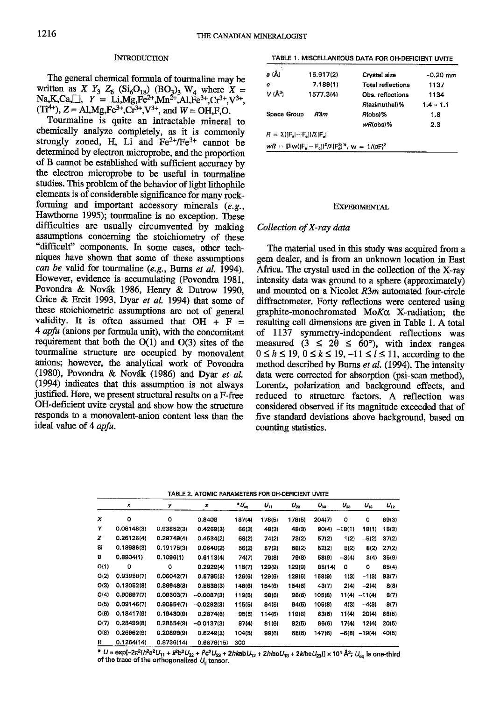#### **INTRODUCTION**

The general chemical formula of tourmaline may be written as X  $Y_3$   $Z_6$  (Si<sub>6</sub>O<sub>18</sub>) (BO<sub>3</sub>)<sub>3</sub> W<sub>4</sub> where X = Na,K,Ca,  $Y = Li$ ,Mg,Fe<sup>2+</sup>,Mn<sup>2+</sup>,Al,Fe<sup>3+</sup>,Cr<sup>3+</sup>,V<sup>3+</sup>,  $(Ti^{4+})$ , Z = Al,Mg,Fe<sup>3+</sup>,Cr<sup>3+</sup>,V<sup>3+</sup>, and  $W = OH$ ,F,O.

Tourmaline is quite an intractable mineral to chemically analyze completely, as it is commonly strongly zoned, H, Li and  $Fe^{2+}/Fe^{3+}$  cannot be determined by electron microprobe, and the proportion of B cannot be established with sufficient accuracy by the electron microprobe to be useful in tourmaline studies. This problem of the behavior of light lithophile elements is of considerable significance for many rockforming and important accessory minerals  $(e.g.,$ Hawthorne 1995); tourmaline is no exception. These difficulties are usually circumvented by making assumptions conceming the stoichiometry of these 'difficult" components. In some cases, other techniques have shown that some of these assumptions can be valid for tourmaline (e.g., Burns et al. 1994). However, evidence is accumulating (Povondra 1981, Povondra & Novák 1986, Henry & Dutrow 1990, Grice & Ercit 1993, Dyar et al. 1994) that some of these stoichiometric assumptions are not of general validity. It is often assumed that  $OH + F =$  $4$  *apfu* (anions per formula unit), with the concomitant requirement that both the  $O(1)$  and  $O(3)$  sites of the tourmaline structure are occupied by monovalent anions; however, the analytical work of Povondra (1980), Povondra & Novdk (1986) and Dyar et al. (1994) indicates that this assumption is not always justified. Here, we present structural results on a F-free OH-deficient uvite crystal and show how the structure responds to a monovalent-anion content less than the ideal value of 4 apfu.

TABLE 1. MISCELLANEOUS DATA FOR OH-DEFICIENT UVITE

| a (Å)                                   | 15.917(2)                                                                       | Crystal size             | $-0.20$ mm  |
|-----------------------------------------|---------------------------------------------------------------------------------|--------------------------|-------------|
| c                                       | 7.189(1)                                                                        | <b>Total reflections</b> | 1137        |
| V (Ū)                                   | 1577.3(4)                                                                       | Obs. reflections         | 1134        |
|                                         |                                                                                 | R(azimuthal)%            | $1.4 - 1.1$ |
| Space Group                             | R3m                                                                             | R(obs)%                  | 1.8         |
|                                         |                                                                                 | wR(obs)%                 | 2.3         |
| $R = \Sigma( F_n  -  F_n )/\Sigma F_n $ |                                                                                 |                          |             |
|                                         | $wR = [\Sigma w ( F_n  -  F_n )^2 / \Sigma [F_n^2]^2$ , w = 1/(oF) <sup>2</sup> |                          |             |

#### EXPERIMENTAL

# Collection of X-ray data

The material used in this study was acquired from a gem dealer, and is from an unknown location in East Africa. The crystal used in the collection of the X-ray intensity data was ground to a sphere (approximately) and mounted on a Nicolet  $R3m$  automated four-circle diffractometer. Forty reflections were centered using graphite-monochromated  $M_0K\alpha$  X-radiation; the resulting cell dimensions are given in Table 1. A total of Ll37 symmetry-independent reflections was measured  $(3 \leq 20 \leq 60^{\circ})$ , with index ranges  $0 \le h \le 19$ ,  $0 \le k \le 19$ ,  $-11 \le l \le 11$ , according to the method described by Burns et al. (1994). The intensity data were corrected for absorption (psi-scan method), Lorentz, polarization and background effects, and reduced to structure factors. A reflection was considered observed if its magnitude exceeded that of five standard deviations above background, based on counting statistics.

TABLE 2. ATOMIC PARAMETERS FOR OH-DEFICIENT UVITE

|      | ×          | y          | z            | $^*U_{\infty}$ | $U_{11}$ | $U_{22}$ | $U_{33}$ | $U_{23}$ | $U_{12}$ | $U_{12}$ |
|------|------------|------------|--------------|----------------|----------|----------|----------|----------|----------|----------|
| x    | o          | o          | 0.8408       | 187(4)         | 178(5)   | 178(5)   | 204(7)   | $\circ$  | ٥        | 89(3)    |
| Y    | 0.06148(3) | 0.93852(3) | 0.4269(3)    | 66(3)          | 48(3)    | 48(3)    | 90(4)    | $-18(1)$ | 18(1)    | 15(3)    |
| z    | 0.26126(4) | 0.29749(4) | 0.4534(2)    | 68(2)          | 74(2)    | 73(2)    | 57(2)    | 1(2)     | $-5(2)$  | 37(2)    |
| Si   | 0.18986(3) | 0.19175(3) | 0.0640(2)    | 56(2)          | 57(2)    | 58(2)    | 52(2)    | 5(2)     | 8(2)     | 27(2)    |
| в    | 0.8904(1)  | 0.1096(1)  | 0.6113(4)    | 74(7)          | 79(8)    | 79(8)    | 58(9)    | $-3(4)$  | 3(4)     | 35(9)    |
| 0(1) | o          | ٥          | 0.2929(4)    | 115(7)         | 129(9)   | 129(9)   | 85(14)   | ٥        | o        | 65(4)    |
| O(2) | 0.93958(7) | 0.06042(7) | 0.5795(3)    | 126(6)         | 129(6)   | 129(6)   | 158(9)   | 1(3)     | $-1(3)$  | 93(7)    |
| O(3) | 0.13052(8) | 0.86948(8) | 0.5538(3)    | 148(6)         | 154(6)   | 154(6)   | 43(7)    | 2(4)     | $-2(4)$  | 8(8)     |
| O(4) | 0.90697(7) | 0.09303(7) | $-0.0087(3)$ | 119(5)         | 98(6)    | 98(6)    | 105(8)   | 11(4)    | $-11(4)$ | 6(7)     |
| O(5) | 0.09146(7) | 0.90854(7) | $-0.0292(3)$ | 115(5)         | 94(5)    | 94(5)    | 105(8)   | 4(3)     | $-4(3)$  | 8(7)     |
| O(6) | 0.18417(9) | 0.19430(9) | 0.2874(6)    | 95(5)          | 114(6)   | 119(6)   | 63(5)    | 11(4)    | 20(4)    | 66(5)    |
| O(7) | 0.28499(8) | 0.28554(9) | $-0.0137(3)$ | 97(4)          | 81(6)    | 92(5)    | 86(6)    | 17(4)    | 12(4)    | 20(5)    |
| O(8) | 0.26962(9) | 0.20899(9) | 0.6249(3)    | 104(5)         | 99(6)    | 65(6)    | 147(6)   | -6(5)    | $-19(4)$ | 40(5)    |
| н    | 0.1264(14) | 0.8736(14) | 0.6876(15)   | 300            |          |          |          |          |          |          |

\* U = exp[~2 $\pi^2$ (/ $\hat r$ a $^2$ U<sub>11</sub> +  $k^2$ b<sup>2</sup>U<sub>22</sub> +  $\mathcal{P}$ c<sup>2</sup>U<sub>33</sub> + 2*ht*acU<sub>12</sub> + 2*ki*bcU<sub>23</sub>)] × 10<sup>4</sup> Å<sup>2</sup>; U<sub>eq</sub> is one-third<br>of the trace of the orthogonalized U<sub>ii</sub> tensor.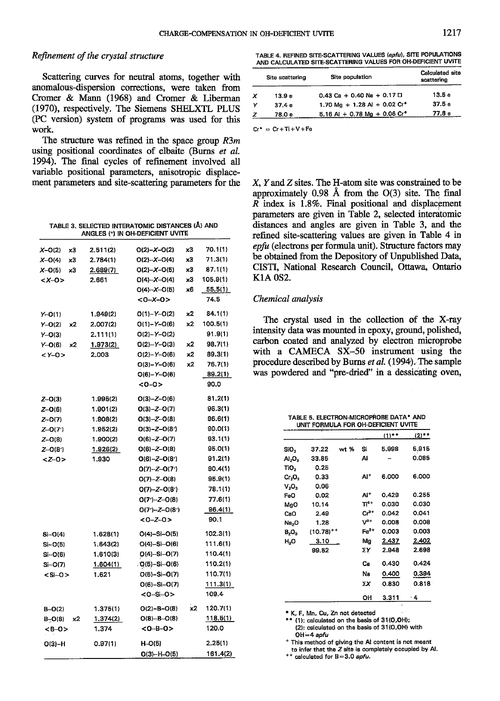# Refinement of the crystal structure

Scattering curves for neutral atoms, together with anomalous-dispersion corrections, were taken from Cromer & Mann (1968) and Cromer & Liberman (1970), respectively. The Siemens SHELXTL PLUS (PC version) system of programs was used for this work.

The structure was refined in the space group  $R3m$ using positional coordinates of elbaite (Burns et al. 1994). The final cycles of refinement involved all variable positional parameters, anisotropic displacement parameters and site-scattering parameters for the

TABLE 3. SELECTED INTERATOMIC DISTANCES (Å) AND ANGLES (°) IN OH-DEFICIENT UVITE

| $X - O(2)$<br>x3 | 2.511(2) | $O(2)-X-O(2)$       | x3 | 70.1(1)  |
|------------------|----------|---------------------|----|----------|
| $X-O(4)$<br>x3   | 2.784(1) | $O(2)-X-O(4)$       | x3 | 71.3(1)  |
| $X-O(5)$<br>x3   | 2.689(7) | $O(2) - X - O(5)$   | x3 | 87.1(1)  |
| $<$ X-0 $>$      | 2.661    | $O(4) - X - O(4)$   | x3 | 105.9(1) |
|                  |          | $O(4) - X - O(5)$   | x6 | 55.5(1)  |
|                  |          | $<0-X-0>$           |    | 74.5     |
| $Y - O(1)$       | 1.949(2) | $O(1)-Y-O(2)$       | x2 | 84.1(1)  |
| $Y - O(2)$<br>x2 | 2.007(2) | $O(1) - Y - O(6)$   | x2 | 100.5(1) |
| $Y - O(3)$       | 2.111(1) | $O(2)-Y-O(2)$       |    | 91.9(1)  |
| Y-0(6)<br>х2     | 1.973(2) | $O(2)-Y-O(3)$       | x2 | 98.7(1)  |
| $<$ Y-0 $>$      | 2.003    | $O(2)-Y-O(6)$       | x2 | 89.3(1)  |
|                  |          | $O(3)-Y-O(6)$       | x2 | 76.7(1)  |
|                  |          | $O(6)-Y-O(6)$       |    | 89.2(1)  |
|                  |          | $<0-0>$             |    | 90.0     |
| $Z - O(3)$       | 1.995(2) | $O(3)-Z-O(6)$       |    | 81.2(1)  |
| $Z - O(6)$       | 1.901(2) | $O(3)-Z-O(7)$       |    | 96.3(1)  |
| $Z - O(7)$       | 1.908(2) | $O(3)-Z-O(8)$       |    | 96.6(1)  |
| $Z - O(7')$      | 1.952(2) | $O(3)-Z-O(8')$      |    | 90.0(1)  |
| $Z - O(8)$       | 1.900(2) | $O(6)-Z-O(7)$       |    | 93.1(1)  |
| $Z - O(8')$      | 1.926(2) | $O(6)-Z-O(8)$       |    | 95.0(1)  |
| $Z - 0 >$        | 1.930    | $O(6)-Z-O(8')$      |    | 91.2(1)  |
|                  |          | $O(7) - Z - O(7')$  |    | 90.4(1)  |
|                  |          | $O(7)-Z-O(8)$       |    | 95.9(1)  |
|                  |          | $O(7) - Z - O(8')$  |    | 78.1(1)  |
|                  |          | $O(7') - Z - O(8)$  |    | 77.6(1)  |
|                  |          | $O(7') - Z - O(8')$ |    | 96.4(1)  |
|                  |          | $0 - Z - 0$         |    | 90.1     |
| $Si-O(4)$        | 1.628(1) | $O(4) - Si - O(5)$  |    | 102.3(1) |
| $Si-O(5)$        | 1.643(2) | $Q(4)-Si-O(6)$      |    | 111.6(1) |
| Si-O(6)          | 1.610(3) | $Q(A) - Si - O(7)$  |    | 110.4(1) |
| $Si-O(7)$        | 1.604(1) | . O(5)-Si-O(6)      |    | 110.2(1) |
| $<$ Si-O $>$     | 1.621    | O(5)-Si-O(7)        |    | 110.7(1) |
|                  |          | $O(6)-Si-O(7)$      |    | 111.3(1) |
|                  |          | <0–Si–O>            |    | 109.4    |
| $B - O(2)$       | 1.375(1) | $O(2)-B-O(8)$       | x2 | 120.7(1) |
| B-O(8)<br>x2     | 1.374(2) | $O(8)-B-O(8)$       |    | 118.5(1) |
| <b-0></b-0>      | 1.374    | $<0 - B - 0$        |    | 120.0    |
| $O(3) - H$       | 0.97(1)  | H-O(5)              |    | 2.25(1)  |
|                  |          | O(3)-H-O(5)         |    | 161.4(2) |

TABLE 4. REFINED SITE-SCATTERING VALUES (epfu), SITE POPULATIONS AND CALCULATED SITE-SCATTERING VALUES FOR OH-DEFICIENT UVITE

| Site scattering   | Site population                   | Calculated site<br>scattering |
|-------------------|-----------------------------------|-------------------------------|
| 13.9 <sub>B</sub> | $0.43$ Ca + 0.40 Na + 0.17 $\Box$ | 13.5e                         |
| 37.4e             | 1.70 Mg + 1.28 Al + 0.02 Cr*      | 37.5e                         |
| 78.0 е            | $5.16$ Al + 0.78 Mg + 0.06 Cr*    | 77.8 е                        |
|                   |                                   |                               |

 $Cr^* = Cr + Ti + V + Fe$ 

X, Y and Z sites. The H-atom site was constrained to be approximately  $0.98$  Å from the  $O(3)$  site. The final  $R$  index is 1.8%. Final positional and displacement parameters are given in Table 2, selected interatomic distances and angles are given in Table 3, and the refined site-scattering values are given in Table 4 in epfu (electrons per formula unit). Structure factors may be obtained from the Depository of Unpublished Data, CISTI, National Research Council, Ottawa, Ontario K1A 0S2.

#### Chemical analysis

The crystal used in the collection of the X-ray intensity data was mounted in epoxy, ground, polished, carbon coated and analyzed by electron microprobe with a CAMECA SX-50 instrument using the procedure described by Burns et al. (1994). The sample was powdered and "pre-dried" in a dessicating oven,

|  | TABLE 5. ELECTRON-MICROPROBE DATA* AND      |  |
|--|---------------------------------------------|--|
|  | <b>INIT CORNIS A EOR OU DEFICIENT INITE</b> |  |

|                                |                |      |                  | $(1)$ ** | $(2)$ ** |
|--------------------------------|----------------|------|------------------|----------|----------|
| SiO2                           | 37.22          | wt % | Si               | 5.998    | 5.915    |
| Al <sub>2</sub> O <sub>3</sub> | 33.85          |      | Al               |          | 0.085    |
| πо,                            | 0.25           |      |                  |          |          |
| $Cr_2O_3$                      | 0.33           |      | Al*              | 6.000    | 6.000    |
| $V_2O_3$                       | 0.06           |      |                  |          |          |
| FeO                            | 0.02           |      | Al*              | 0.429    | 0.255    |
| MgO                            | 10.14          |      | $\Pi^{4+}$       | 0.030    | 0.030    |
| CaO                            | 2.49           |      | Cr <sup>3+</sup> | 0.042    | 0.041    |
| Na,O                           | 1.28           |      | $V^{3+}$         | 0.008    | 0.008    |
| <b>B,O,</b>                    | $(10.78)^{++}$ |      | $Fe2+$           | 0.003    | 0.003    |
| H,O                            | 3.10           |      | Mg               | 2.437    | 2.402    |
|                                | 99.52          |      | ΣΥ               | 2.948    | 2.698    |
|                                |                |      | Ca               | 0.430    | 0.424    |
|                                |                |      | Na               | 0.400    | 0.394    |
|                                |                |      | ΣХ               | 0.830    | 0.818    |
|                                |                |      | он               | 3.311    | - 4      |

K. F. Mn. Cu. Zn not detected

\*\* (1): calculated on the basis of 31(0,0H); (2): calculated on the basis of 31(O,OH) with  $OH = 4$  apfu

\* This method of giving the AI content is not meant to infer that the Z site is completely occupied by Al.

 $**$  calculated for  $B = 3.0$  apfu.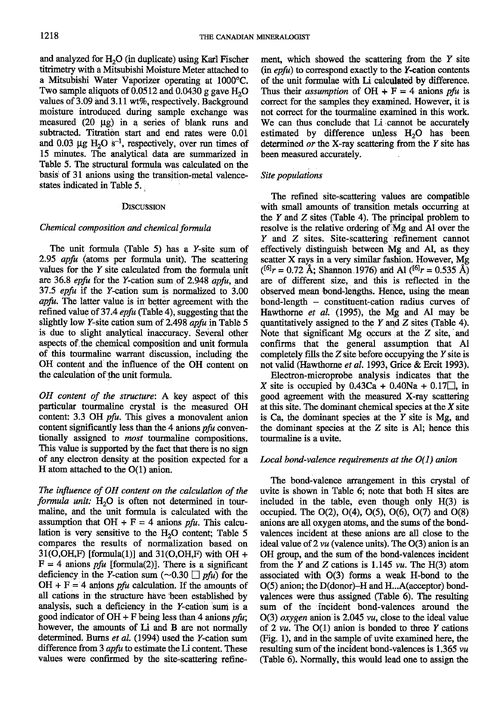and analyzed for  $H<sub>2</sub>O$  (in duplicate) using Karl Fischer titrimetry with a Mitsubishi Moisture Meter attached to a Mitsubishi Water Vaporizer operating at 1000°C. Two sample aliquots of  $0.0512$  and  $0.0430$  g gave H<sub>2</sub>O values of 3.09 and 3.11 wt%, respectively. Background moisture introduced during sample exchange was measured  $(20 \mu g)$  in a series of blank runs and subtracted. Titration start and end rates were 0.01 and 0.03  $\mu$ g H<sub>2</sub>O s<sup>-1</sup>, respectively, over run times of 15 minutes. The analytical data are summarized in Table 5. The structural formula was calculated on the basis of 31 anions using the transition-metal valencestates indicated in Table 5.

### **DISCUSSION**

## Chemical composition and chemical formula

The unit formula (Table 5) has a  $Y$ -site sum of 2.95  $\alpha$ pfu (atoms per formula unit). The scattering values for the  $Y$  site calculated from the formula unit are 36.8 *epfu* for the Y-cation sum of 2.948 *apfu*, and 37.5 *epfu* if the *Y*-cation sum is normalized to  $3.00$ apfu. The latter value is in better agreement with the refined value of 37.4 epfu (Table 4), suggesting that the slightly low Y-site cation sum of 2.498  $\alpha$ pfu in Table 5 is due to slight analytical inaccuracy. Several other aspects of the chemical composition and unit formula of this tourmaline warrant discussion, including the OH conlent and the influence of the OH content on the calculation of the unit formula.

 $OH$  content of the structure: A key aspect of this particular tourmaline crystal is the measured OH content: 3.3 OH pfu. This gives a monovalent anion content significantly less than the 4 anions  $p\hat{t}u$  conventionally assigned to *most* tourmaline compositions. This value is supported by the fact that there is no sign of any electron density at the position expected for a H atom attached to the O(1) anion.

The influence of OH content on the calculation of the formula unit:  $H_2O$  is often not determined in tourmaline, and the unit formula is calculated with the assumption that  $OH + F = 4$  anions pfu. This calculation is very sensitive to the  $H<sub>2</sub>O$  content; Table 5 compares the results of normalization based on  $31(O,OH,F)$  [formula(1)] and  $31(O,OH,F)$  with OH +  $F = 4$  anions *pfu* [formula(2)]. There is a significant deficiency in the Y-cation sum ( $\sim$ 0.30  $\Box$  pfu) for the  $OH + F = 4$  anions *pfu* calculation. If the amounts of all cations in the structure have been established by analysis, such a deficiency in the Y-cation sum is a good indicator of  $OH + F$  being less than 4 anions *pfu*; however, the amounts of Li and B are not normally determined. Burns et al. (1994) used the Y-cation sum difference from  $3$  apfu to estimate the Li content. These values were confirmed by the site-scattering refinement, which showed the scattering from the  $Y$  site  $(in$  epfu) to correspond exactly to the Y-cation contents of the unit formulae with Li calculated by difference. Thus their *assumption* of  $OH + F = 4$  anions pfu is correct for the samples they examined. However, it is not correct for the tourmaline examined in this work. We can thus conclude that Li cannot be accurately estimated by difference unless  $H<sub>2</sub>O$  has been determined  $or$  the X-ray scattering from the  $Y$  site has been measured accurately.

## Site populations

The refined site-scattering values are compatible with small amounts of transition metals occurring at the  $Y$  and  $Z$  sites (Table 4). The principal problem to resolve is the relative ordering of Mg and Al over the Y anld Z sites. Site-scattering refinement cannot effectively distinguish between Mg and Al, as they scatter X rays in a very similar fashion. However, Mg  $(161r = 0.72 \text{ Å}; \text{Shannon}$  1976) and Al  $(161r = 0.535 \text{ Å})$ are of different size, and this is reflected in the observed mean bond-lengths. Hence, using the mean bond-length - constituent-cation radius curves of Hawthorne et al. (1995), the Mg and Al may be quantitatively assigned to the  $Y$  and  $Z$  sites (Table 4). Note that significant  $Mg$  occurs at the  $Z$  site, and confirms that the general assumption that Al completely fills the  $Z$  site before occupying the  $Y$  site is not valid (Hawthome et al. 1993, Grice & Ercit 1993).

Electron-microprobe analysis indicates that the X site is occupied by  $0.43Ca + 0.40Na + 0.17$ , in good agreement with the measured X-ray scattering at this site. The dominant chemical species at the  $X$  site is Ca, the dominant species at the  $Y$  site is Mg, and the dominant species at the Z site is Al; hence this tourmaline is a uvite.

## Local bond-valence requirements at the  $O(1)$  anion

The bond-valence arangement in this crystal of uvite is shown in Table 6; note that both H sites are included in the table, even though only H(3) is occupied. The  $O(2)$ ,  $O(4)$ ,  $O(5)$ ,  $O(6)$ ,  $O(7)$  and  $O(8)$ anions are all oxygen atoms, and the sums of the bondvalences incident at these anions are all close to the ideal value of  $2 \nu u$  (valence units). The O(3) anion is an OH group, and the sum of the bond-valences incident from the Y and Z cations is 1.145 vu. The H(3) atom associated witl O(3) forms a weak H-bond to the  $O(5)$  anion; the  $D$ (donor)-H and H...A(acceptor) bondvalences were thus assigned (Table 6). The resulting sum of the incident bond-valences around the  $O(3)$  oxygen anion is 2.045 vu, close to the ideal value of 2  $vu$ . The O(1) anion is bonded to three Y cations (Fig. 1), and in the sample of uvite examined here, the resulting sum of the incident bond-valences is  $1.365 \nu u$ (Iable 6). Normally, this would lead one to assign the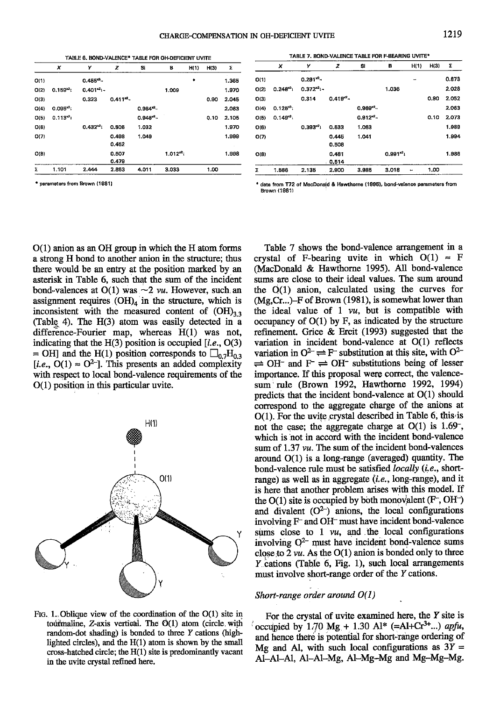$O(7)$ 

 $O(8)$ 

|      | x            | Υ              | z              | Si           | в           | H(1) | H(3) | Σ     |
|------|--------------|----------------|----------------|--------------|-------------|------|------|-------|
| O(1) |              | $0.455^{*3}$ - |                |              |             | ٠    |      | 1.365 |
| O(2) | $0.159^{3}1$ | $0.401^{*2}$   |                |              | 1.009       |      |      | 1.970 |
| O(3) |              | 0.323          | $0.411^{22}$   |              |             |      | 0.90 | 2.045 |
| O(4) | $0.095^{*3}$ |                |                | $0.984^{*2}$ |             |      |      | 2.063 |
| O(5) | $0.113^{2}$  |                |                | $0.946^{*2}$ |             |      | 0.10 | 2.105 |
| O(6) |              | $0.432^{*2}$   | 0.506          | 1.032        |             |      |      | 1.970 |
| O(7) |              |                | 0.498<br>0.452 | 1.049        |             |      |      | 1.999 |
| O(8) |              |                | 0.507<br>0.479 |              | $1.012^{2}$ |      |      | 1.998 |
| Σ    | 1.101        | 2.444          | 2.853          | 4.011        | 3.033       |      | 1.00 |       |

\* parameters from Brown (1981)

 $\boldsymbol{x}$ Ÿ S. B  $H(1)$  $H(3)$  $\pmb{\Sigma}$ z  $O(1)$  $0.291^{48}$ -0.873  $O(2)$  $0.248^{*3}$  $0.372^{x2}$ 1.036 2.028  $O(3)$ 0.314  $0.419^{2}$ 0.90 2.052  $0.125^{*3}$  $0.969^{2}$ 2.063  $O(4)$  $0.149^{x2}$  $0.912^{2}$ 2.073  $O(5)$  $0.10$  $0.393^{2}1$ 1.063 1,989  $O(6)$ 0.533

1.041

 $0.991^{22}$ 

TABLE 7. BOND-VALENCE TABLE FOR F-BEARING UVITE\*

0.514 3.985 3.018 1.00 1.566 2.135 2.900 Σ  $\sim$ 

 $O(1)$  anion as an OH group in which the H atom forms a strong H bond to another anion in the structure; thus there would be an entry at the position marked by an asterisk in Table 6, such that the sum of the incident bond-valences at  $O(1)$  was  $\sim$ 2 *vu*. However, such an assignment requires  $(OH)_4$  in the structure, which is inconsistent with the measured content of  $(OH)_{3,3}$ (Table 4). The  $H(3)$  atom was easily detected in a difference-Fourier map, whereas H(1) was not, indicating that the  $H(3)$  position is occupied [*i.e.*, O(3) = OH] and the H(1) position corresponds to  $\Box_{0.7}$ H<sub>0.3</sub> [*i.e.*, O(1)  $\approx$  O<sup>2-</sup>]. This presents an added complexity with respect to local bond-valence requirements of the  $O(1)$  position in this particular uvite.



Fig. 1. Oblique view of the coordination of the  $O(1)$  site in tourmaline,  $Z$ -axis vertical. The  $O(1)$  atom (circle with random-dot shading) is bonded to three Y cations (highlighted circles), and the  $H(1)$  atom is shown by the small cross-hatched circle; the  $H(1)$  site is predominantly vacant in the uvite crystal refined here.

Table 7 shows the bond-valence arrangement in a crystal of F-bearing uvite in which  $O(1) \approx F$ (MacDonald & Hawthorne 1995). All bond-valence sums are close to their ideal values. The sum around the  $O(1)$  anion, calculated using the curves for (Mg,Cr...)-F of Brown (1981), is somewhat lower than the ideal value of  $1 \nu u$ , but is compatible with occupancy of  $O(1)$  by F, as indicated by the structure refinement. Grice & Ercit (1993) suggested that the variation in incident bond-valence at O(1) reflects variation in  $O^2 \rightleftharpoons F$  substitution at this site, with  $O^{2-}$  $\rightleftharpoons$  OH<sup>-</sup> and F<sup>-</sup>  $\rightleftharpoons$  OH<sup>-</sup> substitutions being of lesser importance. If this proposal were correct, the valencesum rule (Brown 1992, Hawthorne 1992, 1994) predicts that the incident bond-valence at  $O(1)$  should correspond to the aggregate charge of the anions at  $O(1)$ . For the uvite crystal described in Table 6, this is not the case; the aggregate charge at  $O(1)$  is 1.69<sup>-</sup>, which is not in accord with the incident bond-valence sum of  $1.37 \, \nu\mu$ . The sum of the incident bond-valences around  $O(1)$  is a long-range (averaged) quantity. The bond-valence rule must be satisfied *locally* (*i.e.*, shortrange) as well as in aggregate  $(i.e., long-range)$ , and it is here that another problem arises with this model. If the  $O(1)$  site is occupied by both monovalent (F<sup>-</sup>, OH<sup>-</sup>) and divalent  $(O^{2-})$  anions, the local configurations involving F<sup>-</sup> and OH<sup>-</sup> must have incident bond-valence sums close to 1 *vu*, and the local configurations involving  $Q^{2-}$  must have incident bond-valence sums close to  $2 \nu u$ . As the  $O(1)$  anion is bonded only to three  $Y$  cations (Table 6, Fig. 1), such local arrangements must involve short-range order of the Y cations.

# Short-range order around O(1)

For the crystal of uvite examined here, the  $Y$  site is occupied by 1.70 Mg + 1.30 Al\* (=Al+Cr<sup>3+</sup>...) apfu, and hence there is potential for short-range ordering of Mg and Al, with such local configurations as  $3Y =$ Al-Al-Al, Al-Al-Mg, Al-Mg-Mg and Mg-Mg-Mg.

1.994

1.986

data from T72 of MacDonald & Hawthorne (1995), bond-valence parameters from Brown (1981)

0.445

0.508

 $0.481$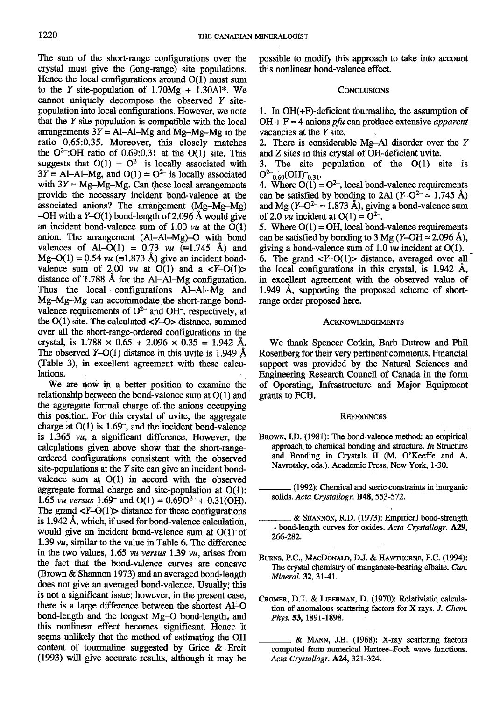The sum of the short-range configurations over the crystal must give the (long-range) site populations. Hence the local configurations around O(1) must sum to the Y site-population of  $1.70Mg + 1.30Al^*$ . We cannot uniquely decompose the observed  $Y$  sitepopulation into local configurations. However, we note that the  $Y$  site-population is compatible with the local arrangements  $3Y = Al-Al-Mg$  and Mg-Mg-Mg in the ratio 0.65:0.35. Moreover, this closely matches the  $O<sup>2</sup>$ : OH ratio of 0.69:0.31 at the O(1) site. This suggests that  $O(1) = O^{2-}$  is locally associated with  $3Y = Al-AI-Mg$ , and  $O(1) = O<sup>2</sup>$  is locally associated with  $3Y = Mg-Mg-Mg$ . Can these local arrangements provide the necessary incident bond-valence at the associated anions? The arrangement  $(Mg-Mg-Mg)$ <br>-OH with a Y-O(1) bond-length of 2.096 Å would give an incident bond-valence sum of 1.00  $\nu\mu$  at the O(1) anion. The arrangement  $(AI-AI-Mg)$ -O with bond valences of Al-O(1) = 0.73  $vu$  (=1.745 Å) and  $Mg-O(1) = 0.54$  *vu* (=1.873 Å) give an incident bondvalence sum of 2.00  $vu$  at O(1) and a  $\langle Y-O(1)\rangle$ distance of 1.788  $\AA$  for the Al-Al-Mg configuration. Thus the local configurations Al-Al-Mg and Mg-Mg-Mg can accommodate the short-range bondvalence requirements of  $O^{2-}$  and OH-, respectively, at the  $O(1)$  site. The calculated  $\langle Y-O \rangle$  distance, summed over all the short-range-ordered configurations in the crystal, is  $1.788 \times 0.65 + 2.096 \times 0.35 = 1.942$  Å. The observed  $Y=O(1)$  distance in this uvite is 1.949 Å (Table 3), in excellent agreement with these calculations,

We are now in a better position to examine the relationship between the bond-valence sum at O(1) and the aggregate formal charge of the anions occupying this position. For this crystal of uvite, the aggregate charge at  $O(1)$  is 1.69<sup>-</sup>, and the incident bond-valence is 1.365 va, a significant difference. However, the calculations given above show that the short-rangeordered configurations consistent witl the observed site-populations at the  $Y$  site can give an incident bondvalence sum at O(1) in accord with the observed aggregate formal charge and site-population at O(L): 1.65 *vu versus* 1.69<sup>-</sup> and  $O(1) = 0.69O^{2-} + 0.31(OH)$ . The grand  $\langle Y - Q(1) \rangle$  distance for these configurations is  $1.942$  Å, which, if used for bond-valence calculation. would give an incident bond-yalence sum at  $O(1)$  of L.39 va, similar to the value in Table 6. The difference in the two values,  $1.65$  vu versus 1.39 vu, arises from the fact that the bond-valence curves are concave (Brown  $\&$  Shannon 1973) and an averaged bond-length does not give an averaged bond-valence. Usually; this is not a significant issue; however, in the present case, there is a large difference between the shortest Al-O bond-length and the longest Mg-O bond-length, and this nonlinear effect becomes significant. Hence it seems unlikely that the method of estimating the OH content of tourmaline suggested by Grice  $\&$  Ercit (1993) will give accurate results, although it may be

possible to modify this approach to take into account this nonlinear bond-valence effect.

#### **CONCLUSIONS**

1. In  $OH(+F)$ -deficient tourmaline, the assumption of  $OH + F = 4$  anions pfu can produce extensive apparent vacancies at the  $Y$  site.

2. There is considerable Mg-Al disorder over the Y and Z sites in this crystal of OH-deficient uvite.

3. The site population of the O(1) site is  $O^{2-}{}_{0.69}O(H)^{-}{}_{0.31}$ 

4. Where  $O(1) = O^{2-}$ , local bond-valence requirements can be satisfied by bonding to 2Al  $(Y-Q^2 \approx 1.745 \text{ Å})$ and Mg (Y-O<sup>2-</sup>  $\approx$  1.873 Å), giving a bond-valence sum of 2.0 *vu* incident at  $O(1) = O^{2-}$ .

5. Where  $O(1) = OH$ , local bond-valence requirements can be satisfied by bonding to 3 Mg (Y-OH  $\approx$  2.096 Å), giving a bond-valence sum of 1.0  $\nu\mu$  incident at O(1). 6. The grand  $\langle Y-O(1)\rangle$  distance, averaged over all the local configurations in this crystal, is  $1.942$  Å, in excellent agreement with the observed value of  $1.949$  Å, supporting the proposed scheme of shortrange order proposed here.

#### ACKNOWLEDGEMENTS

We thank Spencer Cotkin, Barb Dufrow and Phil Rosenberg for their very pertinent comments. Financial support was provided by the Natural Sciences and Engineering Research Council of Canada in the forrn of Operating, Infrastructure and Major Equipment grants to FCH.

#### **REFERENCES**

- BROWN, I.D. (1981): The bond-valence method: an empirical approach to chemical bonding and structure. In Structure and Bonding in Crystals II (M. O'Keeffe and A. Nawotsky, eds.). Academic Press, New York, l-30.
	- -(1992): Chemical and stericconstraints in inorganic solids. Acta Crystallogr. B48, 553-572.
	- & SHANNON, R.D. (1973): Empirical bond-strength  $-$  bond-length curves for oxides. Acta Crystallogr. A29, 266-282.
- BURNS, P.C., MACDONALD, D.J. & HAWTHORNE, F.C. (1994): The crystal chemistry of manganese-bearing elbaite. Can. Mineral. 32, 31-41.
- CROMER, D.T. & LIBERMAN, D. (1970): Relativistic calculation of anomalous scattering factors for X rays. J. Chem. Phys. 53, 1891-1898.
	- & MANN, J.B. (1968): X-ray scattering factors computed from numerical Hartree-Fock wave functions. Acta Crystallogr. A24, 321-324.